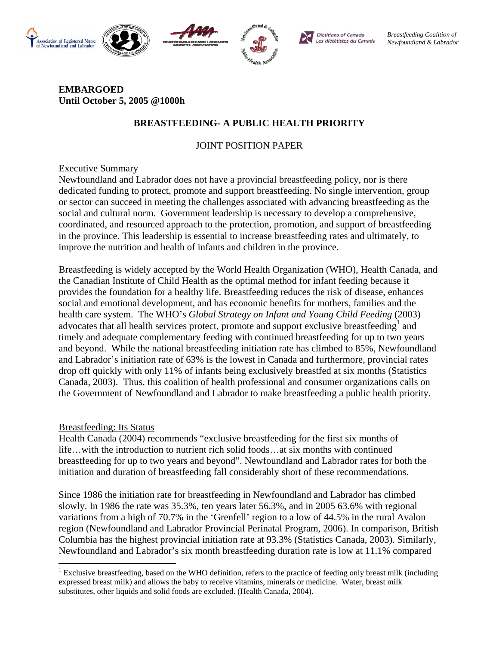







**Dietitians of Canada** Les diététistes du Canada *Breastfeeding Coalition of Newfoundland & Labrador* 

### **EMBARGOED Until October 5, 2005 @1000h**

# **BREASTFEEDING- A PUBLIC HEALTH PRIORITY**

# JOINT POSITION PAPER

## Executive Summary

Newfoundland and Labrador does not have a provincial breastfeeding policy, nor is there dedicated funding to protect, promote and support breastfeeding. No single intervention, group or sector can succeed in meeting the challenges associated with advancing breastfeeding as the social and cultural norm. Government leadership is necessary to develop a comprehensive, coordinated, and resourced approach to the protection, promotion, and support of breastfeeding in the province. This leadership is essential to increase breastfeeding rates and ultimately, to improve the nutrition and health of infants and children in the province.

Breastfeeding is widely accepted by the World Health Organization (WHO), Health Canada, and the Canadian Institute of Child Health as the optimal method for infant feeding because it provides the foundation for a healthy life. Breastfeeding reduces the risk of disease, enhances social and emotional development, and has economic benefits for mothers, families and the health care system. The WHO's *Global Strategy on Infant and Young Child Feeding* (2003) advocates that all health services protect, promote and support exclusive breastfeeding<sup>1</sup> and timely and adequate complementary feeding with continued breastfeeding for up to two years and beyond. While the national breastfeeding initiation rate has climbed to 85%, Newfoundland and Labrador's initiation rate of 63% is the lowest in Canada and furthermore, provincial rates drop off quickly with only 11% of infants being exclusively breastfed at six months (Statistics Canada, 2003). Thus, this coalition of health professional and consumer organizations calls on the Government of Newfoundland and Labrador to make breastfeeding a public health priority.

## Breastfeeding: Its Status

 $\overline{a}$ 

Health Canada (2004) recommends "exclusive breastfeeding for the first six months of life…with the introduction to nutrient rich solid foods…at six months with continued breastfeeding for up to two years and beyond". Newfoundland and Labrador rates for both the initiation and duration of breastfeeding fall considerably short of these recommendations.

Since 1986 the initiation rate for breastfeeding in Newfoundland and Labrador has climbed slowly. In 1986 the rate was 35.3%, ten years later 56.3%, and in 2005 63.6% with regional variations from a high of 70.7% in the 'Grenfell' region to a low of 44.5% in the rural Avalon region (Newfoundland and Labrador Provincial Perinatal Program, 2006). In comparison, British Columbia has the highest provincial initiation rate at 93.3% (Statistics Canada, 2003). Similarly, Newfoundland and Labrador's six month breastfeeding duration rate is low at 11.1% compared

 $1$  Exclusive breastfeeding, based on the WHO definition, refers to the practice of feeding only breast milk (including expressed breast milk) and allows the baby to receive vitamins, minerals or medicine. Water, breast milk substitutes, other liquids and solid foods are excluded. (Health Canada, 2004).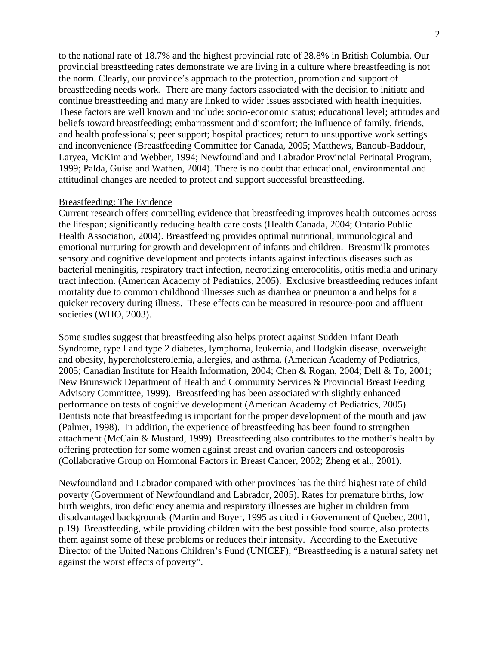to the national rate of 18.7% and the highest provincial rate of 28.8% in British Columbia. Our provincial breastfeeding rates demonstrate we are living in a culture where breastfeeding is not the norm. Clearly, our province's approach to the protection, promotion and support of breastfeeding needs work. There are many factors associated with the decision to initiate and continue breastfeeding and many are linked to wider issues associated with health inequities. These factors are well known and include: socio-economic status; educational level; attitudes and beliefs toward breastfeeding; embarrassment and discomfort; the influence of family, friends, and health professionals; peer support; hospital practices; return to unsupportive work settings and inconvenience (Breastfeeding Committee for Canada, 2005; Matthews, Banoub-Baddour, Laryea, McKim and Webber, 1994; Newfoundland and Labrador Provincial Perinatal Program, 1999; Palda, Guise and Wathen, 2004). There is no doubt that educational, environmental and attitudinal changes are needed to protect and support successful breastfeeding.

#### Breastfeeding: The Evidence

Current research offers compelling evidence that breastfeeding improves health outcomes across the lifespan; significantly reducing health care costs (Health Canada, 2004; Ontario Public Health Association, 2004). Breastfeeding provides optimal nutritional, immunological and emotional nurturing for growth and development of infants and children. Breastmilk promotes sensory and cognitive development and protects infants against infectious diseases such as bacterial meningitis, respiratory tract infection, necrotizing enterocolitis, otitis media and urinary tract infection. (American Academy of Pediatrics, 2005). Exclusive breastfeeding reduces infant mortality due to common childhood illnesses such as diarrhea or pneumonia and helps for a quicker recovery during illness. These effects can be measured in resource-poor and affluent societies (WHO, 2003).

Some studies suggest that breastfeeding also helps protect against Sudden Infant Death Syndrome, type I and type 2 diabetes, lymphoma, leukemia, and Hodgkin disease, overweight and obesity, hypercholesterolemia, allergies, and asthma. (American Academy of Pediatrics, 2005; Canadian Institute for Health Information, 2004; Chen & Rogan, 2004; Dell & To, 2001; New Brunswick Department of Health and Community Services & Provincial Breast Feeding Advisory Committee, 1999). Breastfeeding has been associated with slightly enhanced performance on tests of cognitive development (American Academy of Pediatrics, 2005). Dentists note that breastfeeding is important for the proper development of the mouth and jaw (Palmer, 1998). In addition, the experience of breastfeeding has been found to strengthen attachment (McCain & Mustard, 1999). Breastfeeding also contributes to the mother's health by offering protection for some women against breast and ovarian cancers and osteoporosis (Collaborative Group on Hormonal Factors in Breast Cancer, 2002; Zheng et al., 2001).

Newfoundland and Labrador compared with other provinces has the third highest rate of child poverty (Government of Newfoundland and Labrador, 2005). Rates for premature births, low birth weights, iron deficiency anemia and respiratory illnesses are higher in children from disadvantaged backgrounds (Martin and Boyer, 1995 as cited in Government of Quebec, 2001, p.19). Breastfeeding, while providing children with the best possible food source, also protects them against some of these problems or reduces their intensity. According to the Executive Director of the United Nations Children's Fund (UNICEF), "Breastfeeding is a natural safety net against the worst effects of poverty".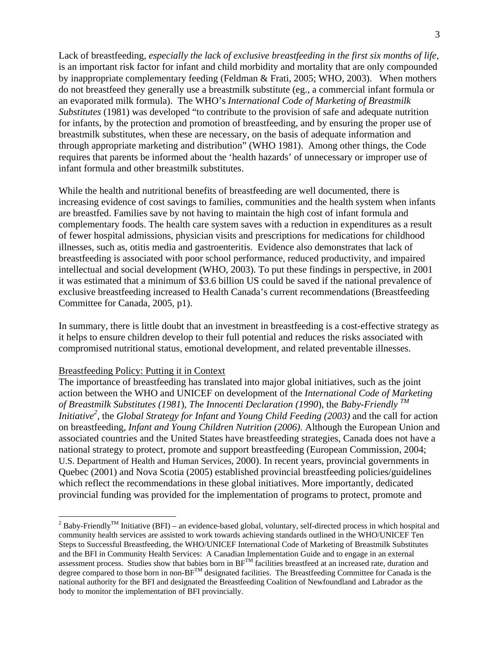Lack of breastfeeding, *especially the lack of exclusive breastfeeding in the first six months of life*, is an important risk factor for infant and child morbidity and mortality that are only compounded by inappropriate complementary feeding (Feldman & Frati, 2005; WHO, 2003). When mothers do not breastfeed they generally use a breastmilk substitute (eg., a commercial infant formula or an evaporated milk formula). The WHO's *International Code of Marketing of Breastmilk Substitutes* (1981) was developed "to contribute to the provision of safe and adequate nutrition for infants, by the protection and promotion of breastfeeding, and by ensuring the proper use of breastmilk substitutes, when these are necessary, on the basis of adequate information and through appropriate marketing and distribution" (WHO 1981). Among other things, the Code requires that parents be informed about the 'health hazards' of unnecessary or improper use of infant formula and other breastmilk substitutes.

While the health and nutritional benefits of breastfeeding are well documented, there is increasing evidence of cost savings to families, communities and the health system when infants are breastfed. Families save by not having to maintain the high cost of infant formula and complementary foods. The health care system saves with a reduction in expenditures as a result of fewer hospital admissions, physician visits and prescriptions for medications for childhood illnesses, such as, otitis media and gastroenteritis. Evidence also demonstrates that lack of breastfeeding is associated with poor school performance, reduced productivity, and impaired intellectual and social development (WHO, 2003). To put these findings in perspective, in 2001 it was estimated that a minimum of \$3.6 billion US could be saved if the national prevalence of exclusive breastfeeding increased to Health Canada's current recommendations (Breastfeeding Committee for Canada, 2005, p1).

In summary, there is little doubt that an investment in breastfeeding is a cost-effective strategy as it helps to ensure children develop to their full potential and reduces the risks associated with compromised nutritional status, emotional development, and related preventable illnesses.

#### Breastfeeding Policy: Putting it in Context

The importance of breastfeeding has translated into major global initiatives, such as the joint action between the WHO and UNICEF on development of the *International Code of Marketing of Breastmilk Substitutes (1981*), *The Innocenti Declaration (1990*), the *Baby-Friendly TM Initiative*<sup>2</sup>, the *Global Strategy for Infant and Young Child Feeding (2003)* and the call for action on breastfeeding, *Infant and Young Children Nutrition (2006).* Although the European Union and associated countries and the United States have breastfeeding strategies, Canada does not have a national strategy to protect, promote and support breastfeeding (European Commission, 2004; U.S. Department of Health and Human Services, 2000). In recent years, provincial governments in Quebec (2001) and Nova Scotia (2005) established provincial breastfeeding policies/guidelines which reflect the recommendations in these global initiatives. More importantly, dedicated provincial funding was provided for the implementation of programs to protect, promote and

<sup>&</sup>lt;sup>2</sup> Baby-Friendly<sup>TM</sup> Initiative (BFI) – an evidence-based global, voluntary, self-directed process in which hospital and community health services are assisted to work towards achieving standards outlined in the WHO/UNICEF Ten Steps to Successful Breastfeeding, the WHO/UNICEF International Code of Marketing of Breastmilk Substitutes and the BFI in Community Health Services: A Canadian Implementation Guide and to engage in an external assessment process. Studies show that babies born in BFTM facilities breastfeed at an increased rate, duration and degree compared to those born in non-BF<sup>TM</sup> designated facilities. The Breastfeeding Committee for Canada is the national authority for the BFI and designated the Breastfeeding Coalition of Newfoundland and Labrador as the body to monitor the implementation of BFI provincially.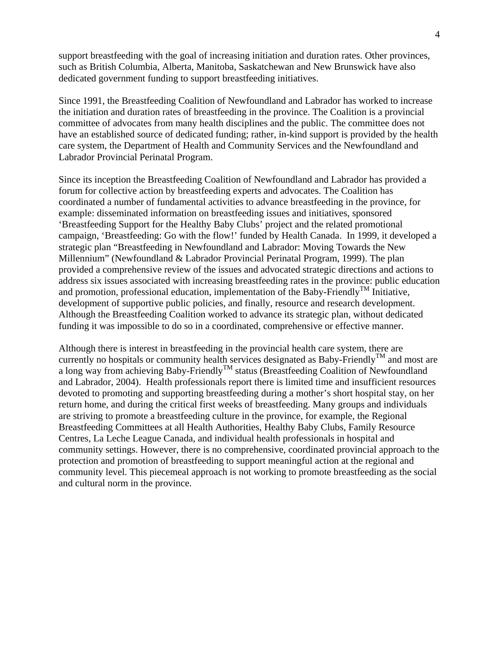support breastfeeding with the goal of increasing initiation and duration rates. Other provinces, such as British Columbia, Alberta, Manitoba, Saskatchewan and New Brunswick have also dedicated government funding to support breastfeeding initiatives.

Since 1991, the Breastfeeding Coalition of Newfoundland and Labrador has worked to increase the initiation and duration rates of breastfeeding in the province. The Coalition is a provincial committee of advocates from many health disciplines and the public. The committee does not have an established source of dedicated funding; rather, in-kind support is provided by the health care system, the Department of Health and Community Services and the Newfoundland and Labrador Provincial Perinatal Program.

Since its inception the Breastfeeding Coalition of Newfoundland and Labrador has provided a forum for collective action by breastfeeding experts and advocates. The Coalition has coordinated a number of fundamental activities to advance breastfeeding in the province, for example: disseminated information on breastfeeding issues and initiatives, sponsored 'Breastfeeding Support for the Healthy Baby Clubs' project and the related promotional campaign, 'Breastfeeding: Go with the flow!' funded by Health Canada. In 1999, it developed a strategic plan "Breastfeeding in Newfoundland and Labrador: Moving Towards the New Millennium" (Newfoundland & Labrador Provincial Perinatal Program, 1999). The plan provided a comprehensive review of the issues and advocated strategic directions and actions to address six issues associated with increasing breastfeeding rates in the province: public education and promotion, professional education, implementation of the Baby-Friendly<sup>TM</sup> Initiative, development of supportive public policies, and finally, resource and research development. Although the Breastfeeding Coalition worked to advance its strategic plan, without dedicated funding it was impossible to do so in a coordinated, comprehensive or effective manner.

Although there is interest in breastfeeding in the provincial health care system, there are currently no hospitals or community health services designated as Baby-Friendly<sup>TM</sup> and most are a long way from achieving Baby-Friendly<sup>TM</sup> status (Breastfeeding Coalition of Newfoundland and Labrador, 2004). Health professionals report there is limited time and insufficient resources devoted to promoting and supporting breastfeeding during a mother's short hospital stay, on her return home, and during the critical first weeks of breastfeeding. Many groups and individuals are striving to promote a breastfeeding culture in the province, for example, the Regional Breastfeeding Committees at all Health Authorities, Healthy Baby Clubs, Family Resource Centres, La Leche League Canada, and individual health professionals in hospital and community settings. However, there is no comprehensive, coordinated provincial approach to the protection and promotion of breastfeeding to support meaningful action at the regional and community level. This piecemeal approach is not working to promote breastfeeding as the social and cultural norm in the province.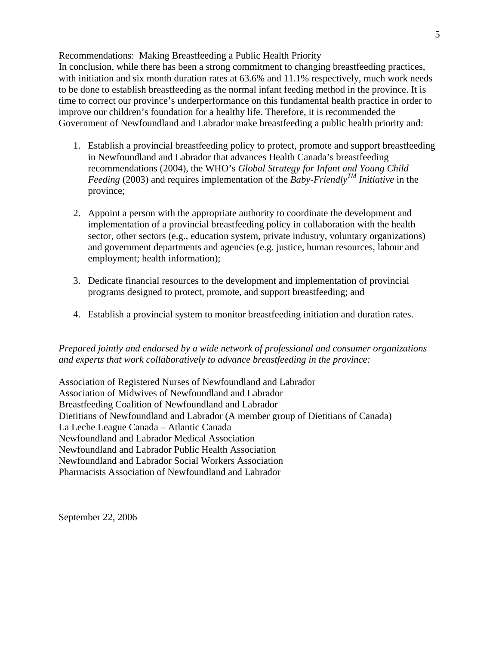### Recommendations: Making Breastfeeding a Public Health Priority

In conclusion, while there has been a strong commitment to changing breastfeeding practices, with initiation and six month duration rates at 63.6% and 11.1% respectively, much work needs to be done to establish breastfeeding as the normal infant feeding method in the province. It is time to correct our province's underperformance on this fundamental health practice in order to improve our children's foundation for a healthy life. Therefore, it is recommended the Government of Newfoundland and Labrador make breastfeeding a public health priority and:

- 1. Establish a provincial breastfeeding policy to protect, promote and support breastfeeding in Newfoundland and Labrador that advances Health Canada's breastfeeding recommendations (2004), the WHO's *Global Strategy for Infant and Young Child Feeding* (2003) and requires implementation of the *Baby-Friendly<sup>TM</sup> Initiative* in the province;
- 2. Appoint a person with the appropriate authority to coordinate the development and implementation of a provincial breastfeeding policy in collaboration with the health sector, other sectors (e.g., education system, private industry, voluntary organizations) and government departments and agencies (e.g. justice, human resources, labour and employment; health information);
- 3. Dedicate financial resources to the development and implementation of provincial programs designed to protect, promote, and support breastfeeding; and
- 4. Establish a provincial system to monitor breastfeeding initiation and duration rates.

### *Prepared jointly and endorsed by a wide network of professional and consumer organizations and experts that work collaboratively to advance breastfeeding in the province:*

Association of Registered Nurses of Newfoundland and Labrador Association of Midwives of Newfoundland and Labrador Breastfeeding Coalition of Newfoundland and Labrador Dietitians of Newfoundland and Labrador (A member group of Dietitians of Canada) La Leche League Canada – Atlantic Canada Newfoundland and Labrador Medical Association Newfoundland and Labrador Public Health Association Newfoundland and Labrador Social Workers Association Pharmacists Association of Newfoundland and Labrador

September 22, 2006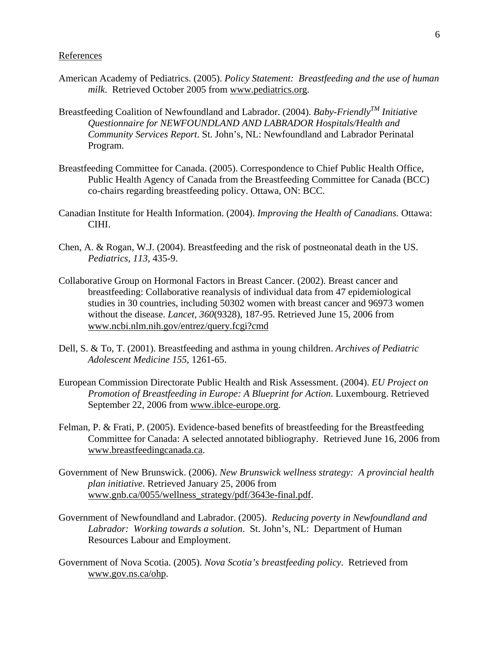#### References

- American Academy of Pediatrics. (2005). *Policy Statement: Breastfeeding and the use of human milk*. Retrieved October 2005 from www.pediatrics.org.
- Breastfeeding Coalition of Newfoundland and Labrador. (2004). *Baby-FriendlyTM Initiative Questionnaire for NEWFOUNDLAND AND LABRADOR Hospitals/Health and Community Services Report*. St. John's, NL: Newfoundland and Labrador Perinatal Program.
- Breastfeeding Committee for Canada. (2005). Correspondence to Chief Public Health Office, Public Health Agency of Canada from the Breastfeeding Committee for Canada (BCC) co-chairs regarding breastfeeding policy. Ottawa, ON: BCC.
- Canadian Institute for Health Information. (2004). *Improving the Health of Canadians.* Ottawa: CIHI.
- Chen, A. & Rogan, W.J. (2004). Breastfeeding and the risk of postneonatal death in the US. *Pediatrics, 113*, 435-9.
- Collaborative Group on Hormonal Factors in Breast Cancer. (2002). Breast cancer and breastfeeding: Collaborative reanalysis of individual data from 47 epidemiological studies in 30 countries, including 50302 women with breast cancer and 96973 women without the disease. *Lancet, 360*(9328), 187-95. Retrieved June 15, 2006 from www.ncbi.nlm.nih.gov/entrez/query.fcgi?cmd
- Dell, S. & To, T. (2001). Breastfeeding and asthma in young children. *Archives of Pediatric Adolescent Medicine 155*, 1261-65.
- European Commission Directorate Public Health and Risk Assessment. (2004). *EU Project on Promotion of Breastfeeding in Europe: A Blueprint for Action*. Luxembourg. Retrieved September 22, 2006 from www.iblce-europe.org.
- Felman, P. & Frati, P. (2005). Evidence-based benefits of breastfeeding for the Breastfeeding Committee for Canada: A selected annotated bibliography. Retrieved June 16, 2006 from www.breastfeedingcanada.ca.
- Government of New Brunswick. (2006). *New Brunswick wellness strategy: A provincial health plan initiative*. Retrieved January 25, 2006 from www.gnb.ca/0055/wellness\_strategy/pdf/3643e-final.pdf.
- Government of Newfoundland and Labrador. (2005). *Reducing poverty in Newfoundland and Labrador: Working towards a solution*. St. John's, NL: Department of Human Resources Labour and Employment.
- Government of Nova Scotia. (2005). *Nova Scotia's breastfeeding policy*. Retrieved from www.gov.ns.ca/ohp.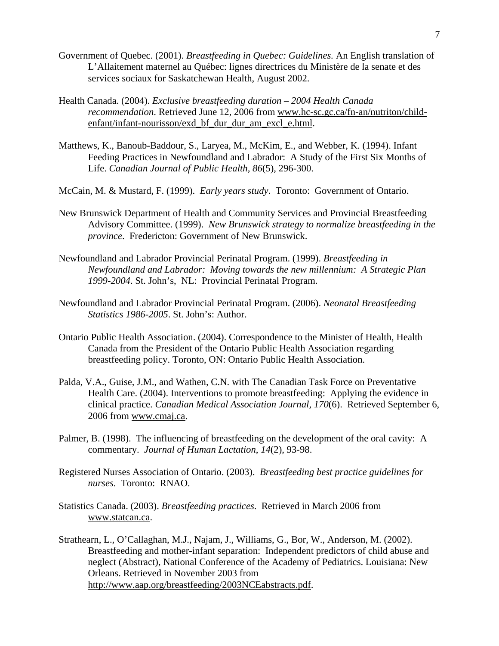- Government of Quebec. (2001). *Breastfeeding in Quebec: Guidelines.* An English translation of L'Allaitement maternel au Québec: lignes directrices du Ministère de la senate et des services sociaux for Saskatchewan Health, August 2002.
- Health Canada. (2004). *Exclusive breastfeeding duration 2004 Health Canada recommendation*. Retrieved June 12, 2006 from www.hc-sc.gc.ca/fn-an/nutriton/childenfant/infant-nourisson/exd\_bf\_dur\_dur\_am\_excl\_e.html.
- Matthews, K., Banoub-Baddour, S., Laryea, M., McKim, E., and Webber, K. (1994). Infant Feeding Practices in Newfoundland and Labrador: A Study of the First Six Months of Life. *Canadian Journal of Public Health, 86*(5), 296-300.
- McCain, M. & Mustard, F. (1999). *Early years study*. Toronto: Government of Ontario.
- New Brunswick Department of Health and Community Services and Provincial Breastfeeding Advisory Committee. (1999). *New Brunswick strategy to normalize breastfeeding in the province*. Fredericton: Government of New Brunswick.
- Newfoundland and Labrador Provincial Perinatal Program. (1999). *Breastfeeding in Newfoundland and Labrador: Moving towards the new millennium: A Strategic Plan 1999-2004*. St. John's, NL: Provincial Perinatal Program.
- Newfoundland and Labrador Provincial Perinatal Program. (2006). *Neonatal Breastfeeding Statistics 1986-2005*. St. John's: Author.
- Ontario Public Health Association. (2004). Correspondence to the Minister of Health, Health Canada from the President of the Ontario Public Health Association regarding breastfeeding policy. Toronto, ON: Ontario Public Health Association.
- Palda, V.A., Guise, J.M., and Wathen, C.N. with The Canadian Task Force on Preventative Health Care. (2004). Interventions to promote breastfeeding: Applying the evidence in clinical practice. *Canadian Medical Association Journal, 170*(6). Retrieved September 6, 2006 from www.cmaj.ca.
- Palmer, B. (1998). The influencing of breastfeeding on the development of the oral cavity: A commentary. *Journal of Human Lactation*, *14*(2), 93-98.
- Registered Nurses Association of Ontario. (2003). *Breastfeeding best practice guidelines for nurses*. Toronto: RNAO.
- Statistics Canada. (2003). *Breastfeeding practices*. Retrieved in March 2006 from www.statcan.ca.
- Strathearn, L., O'Callaghan, M.J., Najam, J., Williams, G., Bor, W., Anderson, M. (2002). Breastfeeding and mother-infant separation: Independent predictors of child abuse and neglect (Abstract), National Conference of the Academy of Pediatrics. Louisiana: New Orleans. Retrieved in November 2003 from http://www.aap.org/breastfeeding/2003NCEabstracts.pdf.